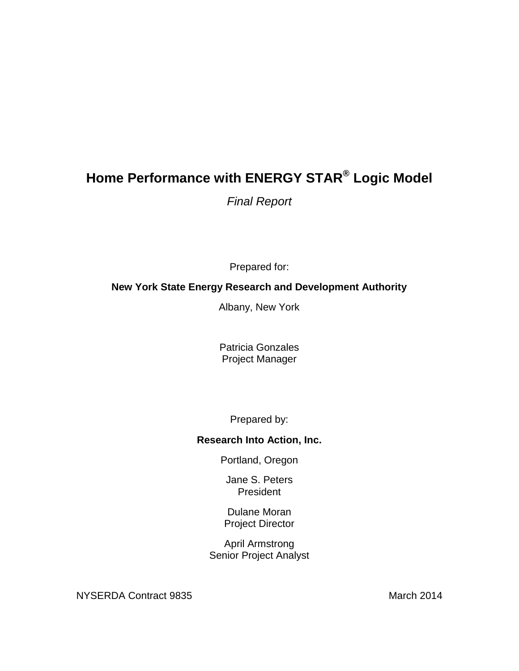# **Home Performance with ENERGY STAR® Logic Model**

*Final Report*

Prepared for:

## **New York State Energy Research and Development Authority**

Albany, New York

Patricia Gonzales Project Manager

Prepared by:

## **Research Into Action, Inc.**

Portland, Oregon

Jane S. Peters President

Dulane Moran Project Director

April Armstrong Senior Project Analyst

NYSERDA Contract 9835 March 2014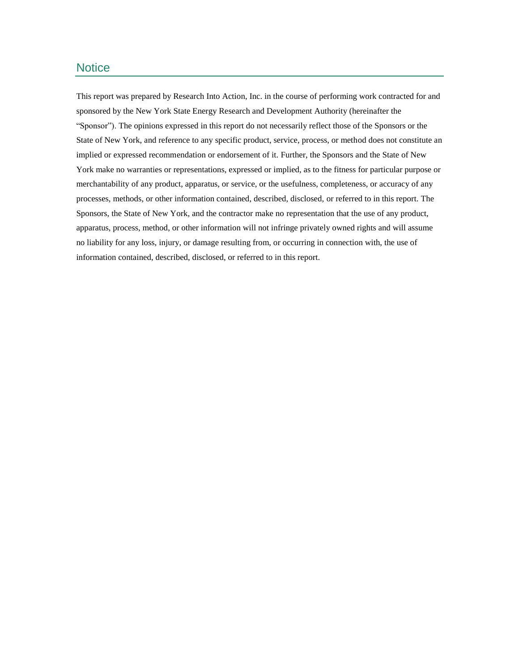### **Notice**

This report was prepared by Research Into Action, Inc. in the course of performing work contracted for and sponsored by the New York State Energy Research and Development Authority (hereinafter the "Sponsor"). The opinions expressed in this report do not necessarily reflect those of the Sponsors or the State of New York, and reference to any specific product, service, process, or method does not constitute an implied or expressed recommendation or endorsement of it. Further, the Sponsors and the State of New York make no warranties or representations, expressed or implied, as to the fitness for particular purpose or merchantability of any product, apparatus, or service, or the usefulness, completeness, or accuracy of any processes, methods, or other information contained, described, disclosed, or referred to in this report. The Sponsors, the State of New York, and the contractor make no representation that the use of any product, apparatus, process, method, or other information will not infringe privately owned rights and will assume no liability for any loss, injury, or damage resulting from, or occurring in connection with, the use of information contained, described, disclosed, or referred to in this report.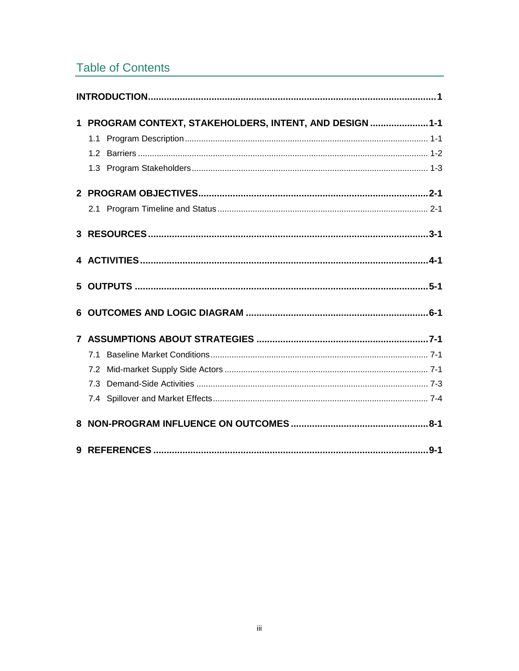# **Table of Contents**

| $\mathbf 1$ | PROGRAM CONTEXT, STAKEHOLDERS, INTENT, AND DESIGN  1-1<br>1.1 |
|-------------|---------------------------------------------------------------|
|             |                                                               |
|             |                                                               |
|             |                                                               |
|             |                                                               |
|             |                                                               |
|             |                                                               |
|             |                                                               |
|             | 71                                                            |
|             | 7.2                                                           |
|             |                                                               |
|             |                                                               |
|             |                                                               |
|             | $9 - 1$                                                       |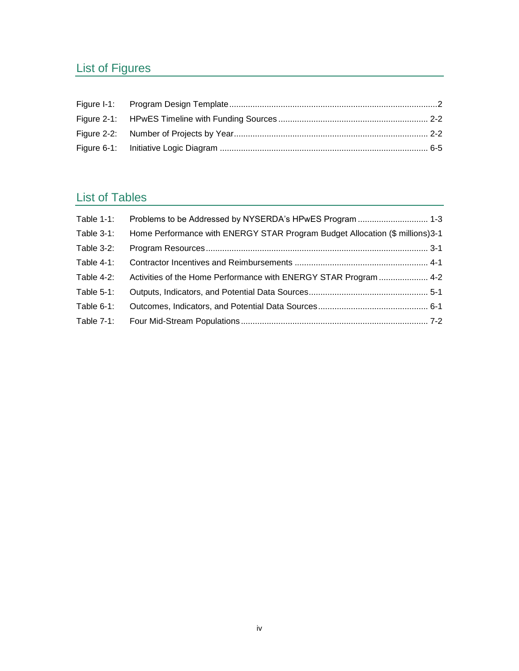# List of Figures

# List of Tables

| Table 1-1:    |                                                                              |  |
|---------------|------------------------------------------------------------------------------|--|
| Table 3-1:    | Home Performance with ENERGY STAR Program Budget Allocation (\$ millions)3-1 |  |
| Table 3-2:    |                                                                              |  |
| Table $4-1$ : |                                                                              |  |
| Table 4-2:    | Activities of the Home Performance with ENERGY STAR Program  4-2             |  |
| Table $5-1$ : |                                                                              |  |
| Table $6-1$ : |                                                                              |  |
| Table 7-1:    |                                                                              |  |
|               |                                                                              |  |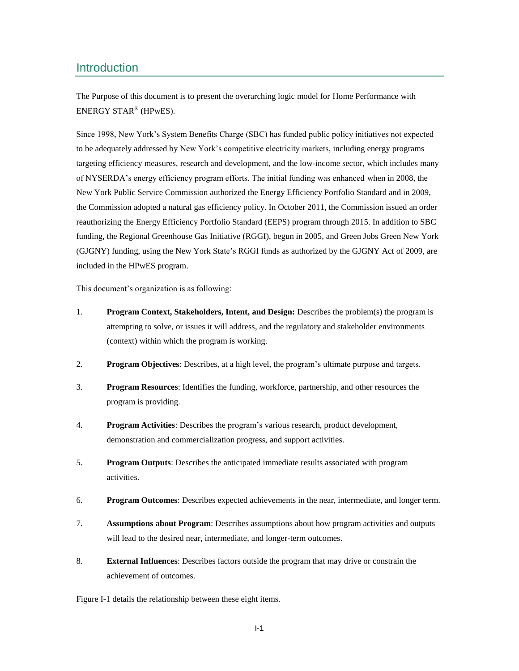### <span id="page-6-0"></span>**Introduction**

The Purpose of this document is to present the overarching logic model for Home Performance with ENERGY STAR® (HPwES).

Since 1998, New York's System Benefits Charge (SBC) has funded public policy initiatives not expected to be adequately addressed by New York's competitive electricity markets, including energy programs targeting efficiency measures, research and development, and the low-income sector, which includes many of NYSERDA's energy efficiency program efforts. The initial funding was enhanced when in 2008, the New York Public Service Commission authorized the Energy Efficiency Portfolio Standard and in 2009, the Commission adopted a natural gas efficiency policy. In October 2011, the Commission issued an order reauthorizing the Energy Efficiency Portfolio Standard (EEPS) program through 2015. In addition to SBC funding, the Regional Greenhouse Gas Initiative (RGGI), begun in 2005, and Green Jobs Green New York (GJGNY) funding, using the New York State's RGGI funds as authorized by the GJGNY Act of 2009, are included in the HPwES program.

This document's organization is as following:

- 1. **Program Context, Stakeholders, Intent, and Design:** Describes the problem(s) the program is attempting to solve, or issues it will address, and the regulatory and stakeholder environments (context) within which the program is working.
- 2. **Program Objectives**: Describes, at a high level, the program's ultimate purpose and targets.
- 3. **Program Resources**: Identifies the funding, workforce, partnership, and other resources the program is providing.
- 4. **Program Activities**: Describes the program's various research, product development, demonstration and commercialization progress, and support activities.
- 5. **Program Outputs**: Describes the anticipated immediate results associated with program activities.
- 6. **Program Outcomes**: Describes expected achievements in the near, intermediate, and longer term.
- 7. **Assumptions about Program**: Describes assumptions about how program activities and outputs will lead to the desired near, intermediate, and longer-term outcomes.
- 8. **External Influences**: Describes factors outside the program that may drive or constrain the achievement of outcomes.

[Figure I-1](#page-7-0) details the relationship between these eight items.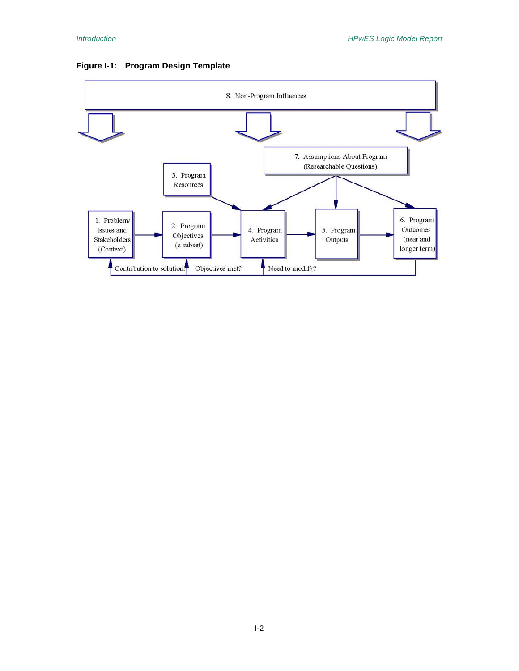<span id="page-7-0"></span>

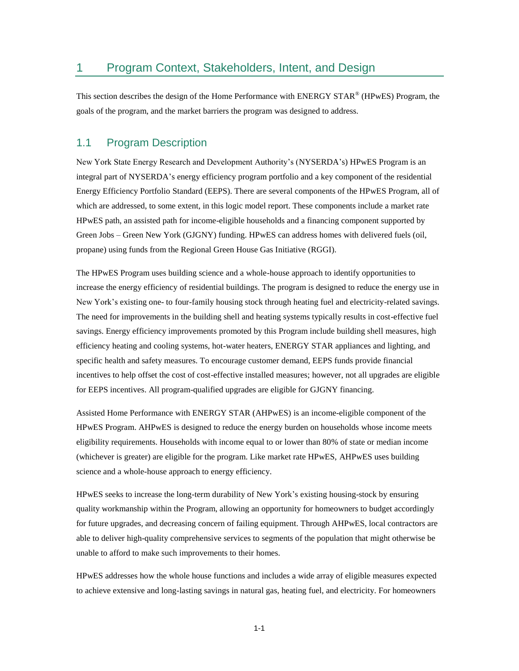### <span id="page-8-0"></span>1 Program Context, Stakeholders, Intent, and Design

This section describes the design of the Home Performance with ENERGY STAR® (HPwES) Program, the goals of the program, and the market barriers the program was designed to address.

### <span id="page-8-1"></span>1.1 Program Description

New York State Energy Research and Development Authority's (NYSERDA's) HPwES Program is an integral part of NYSERDA's energy efficiency program portfolio and a key component of the residential Energy Efficiency Portfolio Standard (EEPS). There are several components of the HPwES Program, all of which are addressed, to some extent, in this logic model report. These components include a market rate HPwES path, an assisted path for income-eligible households and a financing component supported by Green Jobs – Green New York (GJGNY) funding. HPwES can address homes with delivered fuels (oil, propane) using funds from the Regional Green House Gas Initiative (RGGI).

The HPwES Program uses building science and a whole-house approach to identify opportunities to increase the energy efficiency of residential buildings. The program is designed to reduce the energy use in New York's existing one- to four-family housing stock through heating fuel and electricity-related savings. The need for improvements in the building shell and heating systems typically results in cost-effective fuel savings. Energy efficiency improvements promoted by this Program include building shell measures, high efficiency heating and cooling systems, hot-water heaters, ENERGY STAR appliances and lighting, and specific health and safety measures. To encourage customer demand, EEPS funds provide financial incentives to help offset the cost of cost-effective installed measures; however, not all upgrades are eligible for EEPS incentives. All program-qualified upgrades are eligible for GJGNY financing.

Assisted Home Performance with ENERGY STAR (AHPwES) is an income-eligible component of the HPwES Program. AHPwES is designed to reduce the energy burden on households whose income meets eligibility requirements. Households with income equal to or lower than 80% of state or median income (whichever is greater) are eligible for the program. Like market rate HPwES, AHPwES uses building science and a whole-house approach to energy efficiency.

HPwES seeks to increase the long-term durability of New York's existing housing-stock by ensuring quality workmanship within the Program, allowing an opportunity for homeowners to budget accordingly for future upgrades, and decreasing concern of failing equipment. Through AHPwES, local contractors are able to deliver high-quality comprehensive services to segments of the population that might otherwise be unable to afford to make such improvements to their homes.

HPwES addresses how the whole house functions and includes a wide array of eligible measures expected to achieve extensive and long-lasting savings in natural gas, heating fuel, and electricity. For homeowners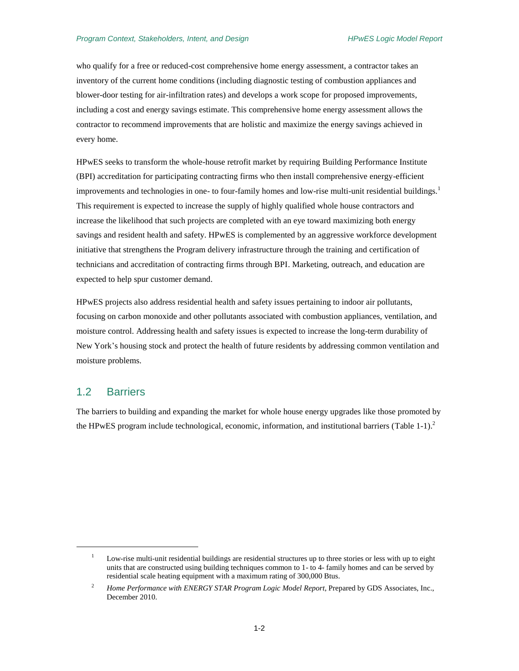who qualify for a free or reduced-cost comprehensive home energy assessment, a contractor takes an inventory of the current home conditions (including diagnostic testing of combustion appliances and blower-door testing for air-infiltration rates) and develops a work scope for proposed improvements, including a cost and energy savings estimate. This comprehensive home energy assessment allows the contractor to recommend improvements that are holistic and maximize the energy savings achieved in every home.

HPwES seeks to transform the whole-house retrofit market by requiring Building Performance Institute (BPI) accreditation for participating contracting firms who then install comprehensive energy-efficient improvements and technologies in one- to four-family homes and low-rise multi-unit residential buildings.<sup>1</sup> This requirement is expected to increase the supply of highly qualified whole house contractors and increase the likelihood that such projects are completed with an eye toward maximizing both energy savings and resident health and safety. HPwES is complemented by an aggressive workforce development initiative that strengthens the Program delivery infrastructure through the training and certification of technicians and accreditation of contracting firms through BPI. Marketing, outreach, and education are expected to help spur customer demand.

HPwES projects also address residential health and safety issues pertaining to indoor air pollutants, focusing on carbon monoxide and other pollutants associated with combustion appliances, ventilation, and moisture control. Addressing health and safety issues is expected to increase the long-term durability of New York's housing stock and protect the health of future residents by addressing common ventilation and moisture problems.

### <span id="page-9-0"></span>1.2 Barriers

 $\overline{\phantom{a}}$ 

The barriers to building and expanding the market for whole house energy upgrades like those promoted by the HPwES program include technological, economic, information, and institutional barriers [\(Table](#page-10-1) 1-1).<sup>2</sup>

 $1 -$  Low-rise multi-unit residential buildings are residential structures up to three stories or less with up to eight units that are constructed using building techniques common to 1- to 4- family homes and can be served by residential scale heating equipment with a maximum rating of 300,000 Btus.

<sup>&</sup>lt;sup>2</sup> *Home Performance with ENERGY STAR Program Logic Model Report*, Prepared by GDS Associates, Inc., December 2010.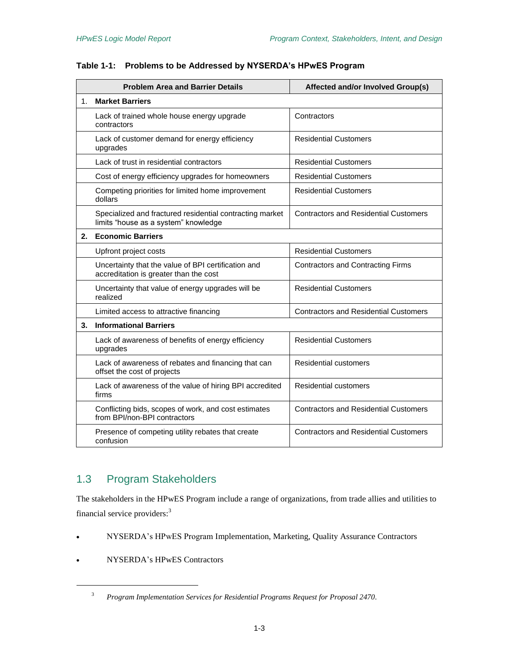|    | <b>Problem Area and Barrier Details</b>                                                          | Affected and/or Involved Group(s)            |
|----|--------------------------------------------------------------------------------------------------|----------------------------------------------|
| 1. | <b>Market Barriers</b>                                                                           |                                              |
|    | Lack of trained whole house energy upgrade<br>contractors                                        | Contractors                                  |
|    | Lack of customer demand for energy efficiency<br>upgrades                                        | <b>Residential Customers</b>                 |
|    | Lack of trust in residential contractors                                                         | <b>Residential Customers</b>                 |
|    | Cost of energy efficiency upgrades for homeowners                                                | <b>Residential Customers</b>                 |
|    | Competing priorities for limited home improvement<br>dollars                                     | <b>Residential Customers</b>                 |
|    | Specialized and fractured residential contracting market<br>limits "house as a system" knowledge | <b>Contractors and Residential Customers</b> |
| 2. | <b>Economic Barriers</b>                                                                         |                                              |
|    | Upfront project costs                                                                            | <b>Residential Customers</b>                 |
|    | Uncertainty that the value of BPI certification and<br>accreditation is greater than the cost    | <b>Contractors and Contracting Firms</b>     |
|    | Uncertainty that value of energy upgrades will be<br>realized                                    | <b>Residential Customers</b>                 |
|    | Limited access to attractive financing                                                           | <b>Contractors and Residential Customers</b> |
| 3. | <b>Informational Barriers</b>                                                                    |                                              |
|    | Lack of awareness of benefits of energy efficiency<br>upgrades                                   | <b>Residential Customers</b>                 |
|    | Lack of awareness of rebates and financing that can<br>offset the cost of projects               | <b>Residential customers</b>                 |
|    | Lack of awareness of the value of hiring BPI accredited<br>firms                                 | <b>Residential customers</b>                 |
|    | Conflicting bids, scopes of work, and cost estimates<br>from BPI/non-BPI contractors             | <b>Contractors and Residential Customers</b> |
|    | Presence of competing utility rebates that create<br>confusion                                   | <b>Contractors and Residential Customers</b> |

### <span id="page-10-1"></span>**Table 1-1: Problems to be Addressed by NYSERDA's HPwES Program**

# <span id="page-10-0"></span>1.3 Program Stakeholders

The stakeholders in the HPwES Program include a range of organizations, from trade allies and utilities to financial service providers:<sup>3</sup>

- NYSERDA's HPwES Program Implementation, Marketing, Quality Assurance Contractors
- NYSERDA's HPwES Contractors

 $\overline{\phantom{a}}$ 

<sup>3</sup> *Program Implementation Services for Residential Programs Request for Proposal 2470*.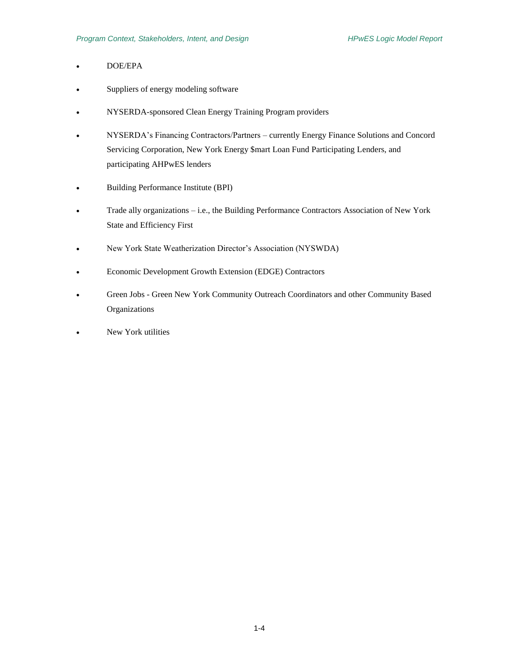- DOE/EPA
- Suppliers of energy modeling software
- NYSERDA-sponsored Clean Energy Training Program providers
- NYSERDA's Financing Contractors/Partners currently Energy Finance Solutions and Concord Servicing Corporation, New York Energy \$mart Loan Fund Participating Lenders, and participating AHPwES lenders
- Building Performance Institute (BPI)
- Trade ally organizations i.e., the Building Performance Contractors Association of New York State and Efficiency First
- New York State Weatherization Director's Association (NYSWDA)
- Economic Development Growth Extension (EDGE) Contractors
- Green Jobs Green New York Community Outreach Coordinators and other Community Based Organizations
- New York utilities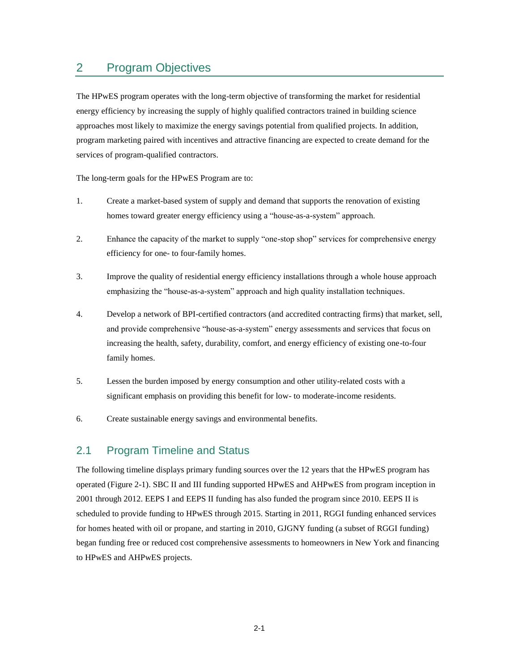# <span id="page-12-0"></span>2 Program Objectives

The HPwES program operates with the long-term objective of transforming the market for residential energy efficiency by increasing the supply of highly qualified contractors trained in building science approaches most likely to maximize the energy savings potential from qualified projects. In addition, program marketing paired with incentives and attractive financing are expected to create demand for the services of program-qualified contractors.

The long-term goals for the HPwES Program are to:

- 1. Create a market-based system of supply and demand that supports the renovation of existing homes toward greater energy efficiency using a "house-as-a-system" approach.
- 2. Enhance the capacity of the market to supply "one-stop shop" services for comprehensive energy efficiency for one- to four-family homes.
- 3. Improve the quality of residential energy efficiency installations through a whole house approach emphasizing the "house-as-a-system" approach and high quality installation techniques.
- 4. Develop a network of BPI-certified contractors (and accredited contracting firms) that market, sell, and provide comprehensive "house-as-a-system" energy assessments and services that focus on increasing the health, safety, durability, comfort, and energy efficiency of existing one-to-four family homes.
- 5. Lessen the burden imposed by energy consumption and other utility-related costs with a significant emphasis on providing this benefit for low- to moderate-income residents.
- 6. Create sustainable energy savings and environmental benefits.

### <span id="page-12-1"></span>2.1 Program Timeline and Status

The following timeline displays primary funding sources over the 12 years that the HPwES program has operated [\(Figure 2-1\)](#page-13-0). SBC II and III funding supported HPwES and AHPwES from program inception in 2001 through 2012. EEPS I and EEPS II funding has also funded the program since 2010. EEPS II is scheduled to provide funding to HPwES through 2015. Starting in 2011, RGGI funding enhanced services for homes heated with oil or propane, and starting in 2010, GJGNY funding (a subset of RGGI funding) began funding free or reduced cost comprehensive assessments to homeowners in New York and financing to HPwES and AHPwES projects.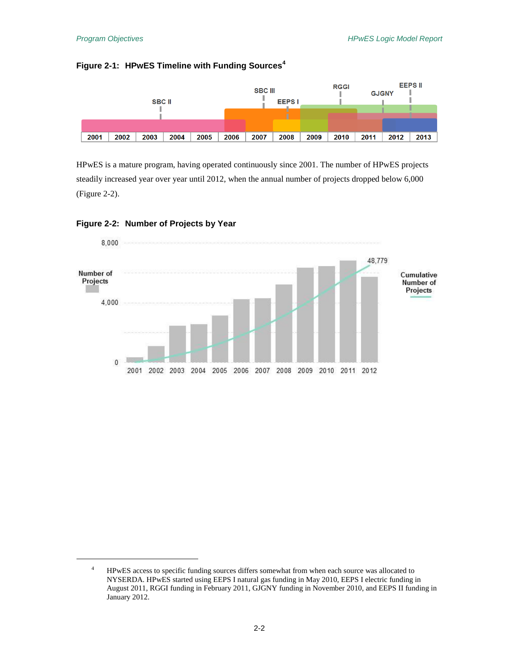$\overline{a}$ 

### <span id="page-13-0"></span>**Figure 2-1: HPwES Timeline with Funding Sources<sup>4</sup>**



HPwES is a mature program, having operated continuously since 2001. The number of HPwES projects steadily increased year over year until 2012, when the annual number of projects dropped below 6,000 [\(Figure 2-2\)](#page-13-1).



#### <span id="page-13-1"></span>**Figure 2-2: Number of Projects by Year**

<sup>&</sup>lt;sup>4</sup> HPwES access to specific funding sources differs somewhat from when each source was allocated to NYSERDA. HPwES started using EEPS I natural gas funding in May 2010, EEPS I electric funding in August 2011, RGGI funding in February 2011, GJGNY funding in November 2010, and EEPS II funding in January 2012.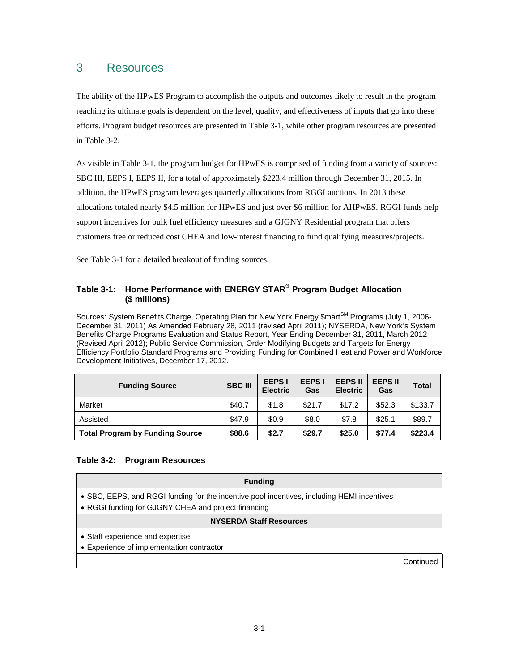## <span id="page-14-0"></span>3 Resources

The ability of the HPwES Program to accomplish the outputs and outcomes likely to result in the program reaching its ultimate goals is dependent on the level, quality, and effectiveness of inputs that go into these efforts. Program budget resources are presented in [Table 3-1,](#page-14-1) while other program resources are presented in [Table 3-2.](#page-14-2)

As visible in [Table 3-1,](#page-14-1) the program budget for HPwES is comprised of funding from a variety of sources: SBC III, EEPS I, EEPS II, for a total of approximately \$223.4 million through December 31, 2015. In addition, the HPwES program leverages quarterly allocations from RGGI auctions. In 2013 these allocations totaled nearly \$4.5 million for HPwES and just over \$6 million for AHPwES. RGGI funds help support incentives for bulk fuel efficiency measures and a GJGNY Residential program that offers customers free or reduced cost CHEA and low-interest financing to fund qualifying measures/projects.

See [Table 3-1](#page-14-1) for a detailed breakout of funding sources.

### <span id="page-14-1"></span>**Table 3-1: Home Performance with ENERGY STAR® Program Budget Allocation (\$ millions)**

Sources: System Benefits Charge, Operating Plan for New York Energy \$mart<sup>SM</sup> Programs (July 1, 2006-December 31, 2011) As Amended February 28, 2011 (revised April 2011); NYSERDA, New York's System Benefits Charge Programs Evaluation and Status Report, Year Ending December 31, 2011, March 2012 (Revised April 2012); Public Service Commission, Order Modifying Budgets and Targets for Energy Efficiency Portfolio Standard Programs and Providing Funding for Combined Heat and Power and Workforce Development Initiatives, December 17, 2012.

| <b>Funding Source</b>                  | <b>SBC III</b> | <b>EEPS I</b><br><b>Electric</b> | <b>EEPS I</b><br>Gas | <b>EEPS II</b><br><b>Electric</b> | <b>EEPS II</b><br>Gas | <b>Total</b> |
|----------------------------------------|----------------|----------------------------------|----------------------|-----------------------------------|-----------------------|--------------|
| Market                                 | \$40.7         | \$1.8                            | \$21.7               | \$17.2                            | \$52.3                | \$133.7      |
| Assisted                               | \$47.9         | \$0.9                            | \$8.0                | \$7.8                             | \$25.1                | \$89.7       |
| <b>Total Program by Funding Source</b> | \$88.6         | \$2.7                            | \$29.7               | \$25.0                            | \$77.4                | \$223.4      |

### <span id="page-14-2"></span>**Table 3-2: Program Resources**

| <b>Funding</b>                                                                                                                                    |           |
|---------------------------------------------------------------------------------------------------------------------------------------------------|-----------|
| • SBC, EEPS, and RGGI funding for the incentive pool incentives, including HEMI incentives<br>• RGGI funding for GJGNY CHEA and project financing |           |
| <b>NYSERDA Staff Resources</b>                                                                                                                    |           |
| • Staff experience and expertise<br>• Experience of implementation contractor                                                                     |           |
|                                                                                                                                                   | Continued |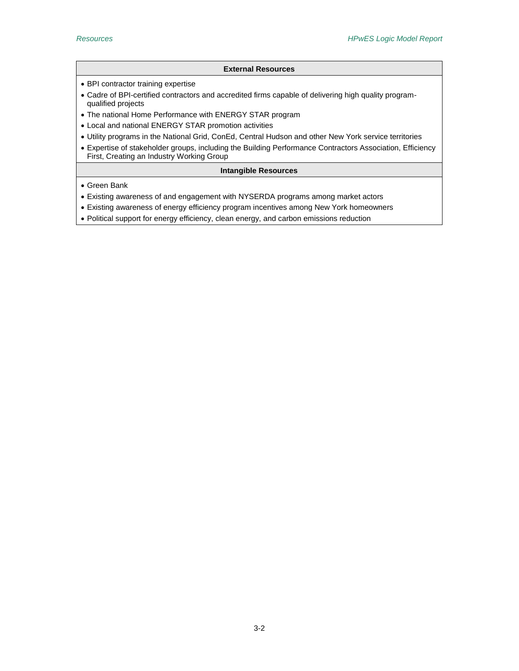#### **External Resources**

- BPI contractor training expertise
- Cadre of BPI-certified contractors and accredited firms capable of delivering high quality programqualified projects
- The national Home Performance with ENERGY STAR program
- Local and national ENERGY STAR promotion activities
- Utility programs in the National Grid, ConEd, Central Hudson and other New York service territories
- Expertise of stakeholder groups, including the Building Performance Contractors Association, Efficiency First, Creating an Industry Working Group

#### **Intangible Resources**

- Green Bank
- Existing awareness of and engagement with NYSERDA programs among market actors
- Existing awareness of energy efficiency program incentives among New York homeowners
- Political support for energy efficiency, clean energy, and carbon emissions reduction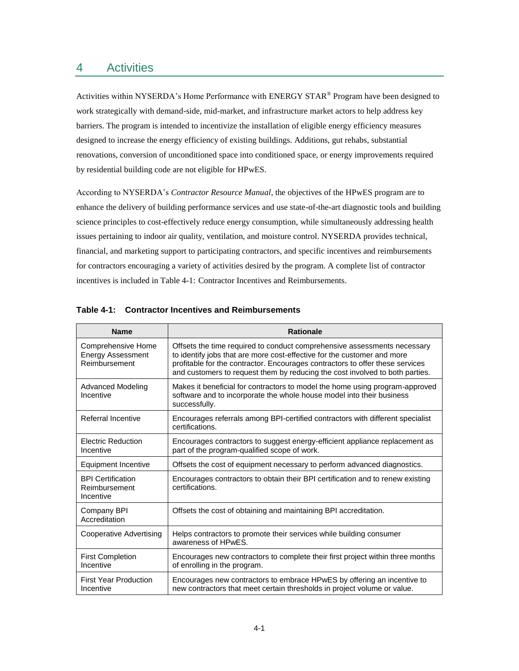### <span id="page-16-0"></span>4 Activities

Activities within NYSERDA's Home Performance with ENERGY STAR<sup>®</sup> Program have been designed to work strategically with demand-side, mid-market, and infrastructure market actors to help address key barriers. The program is intended to incentivize the installation of eligible energy efficiency measures designed to increase the energy efficiency of existing buildings. Additions, gut rehabs, substantial renovations, conversion of unconditioned space into conditioned space, or energy improvements required by residential building code are not eligible for HPwES.

According to NYSERDA's *Contractor Resource Manual*, the objectives of the HPwES program are to enhance the delivery of building performance services and use state-of-the-art diagnostic tools and building science principles to cost-effectively reduce energy consumption, while simultaneously addressing health issues pertaining to indoor air quality, ventilation, and moisture control. NYSERDA provides technical, financial, and marketing support to participating contractors, and specific incentives and reimbursements for contractors encouraging a variety of activities desired by the program. A complete list of contractor incentives is included in [Table 4-1: Contractor Incentives and Reimbursements.](#page-16-1)

| <b>Name</b>                                                     | <b>Rationale</b>                                                                                                                                                                                                                                                                                                     |
|-----------------------------------------------------------------|----------------------------------------------------------------------------------------------------------------------------------------------------------------------------------------------------------------------------------------------------------------------------------------------------------------------|
| Comprehensive Home<br><b>Energy Assessment</b><br>Reimbursement | Offsets the time required to conduct comprehensive assessments necessary<br>to identify jobs that are more cost-effective for the customer and more<br>profitable for the contractor. Encourages contractors to offer these services<br>and customers to request them by reducing the cost involved to both parties. |
| <b>Advanced Modeling</b><br>Incentive                           | Makes it beneficial for contractors to model the home using program-approved<br>software and to incorporate the whole house model into their business<br>successfully.                                                                                                                                               |
| Referral Incentive                                              | Encourages referrals among BPI-certified contractors with different specialist<br>certifications.                                                                                                                                                                                                                    |
| <b>Electric Reduction</b><br>Incentive                          | Encourages contractors to suggest energy-efficient appliance replacement as<br>part of the program-qualified scope of work.                                                                                                                                                                                          |
| Equipment Incentive                                             | Offsets the cost of equipment necessary to perform advanced diagnostics.                                                                                                                                                                                                                                             |
| <b>BPI Certification</b><br>Reimbursement<br>Incentive          | Encourages contractors to obtain their BPI certification and to renew existing<br>certifications.                                                                                                                                                                                                                    |
| Company BPI<br>Accreditation                                    | Offsets the cost of obtaining and maintaining BPI accreditation.                                                                                                                                                                                                                                                     |
| Cooperative Advertising                                         | Helps contractors to promote their services while building consumer<br>awareness of HPwES.                                                                                                                                                                                                                           |
| <b>First Completion</b><br>Incentive                            | Encourages new contractors to complete their first project within three months<br>of enrolling in the program.                                                                                                                                                                                                       |
| <b>First Year Production</b><br>Incentive                       | Encourages new contractors to embrace HPwES by offering an incentive to<br>new contractors that meet certain thresholds in project volume or value.                                                                                                                                                                  |

#### <span id="page-16-1"></span>**Table 4-1: Contractor Incentives and Reimbursements**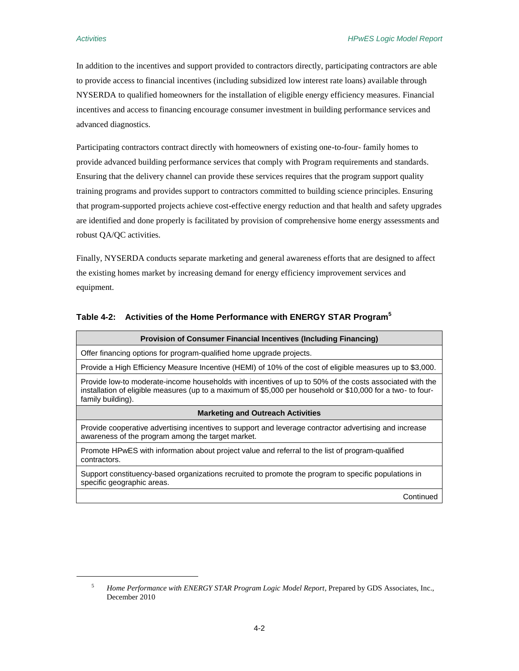$\overline{a}$ 

In addition to the incentives and support provided to contractors directly, participating contractors are able to provide access to financial incentives (including subsidized low interest rate loans) available through NYSERDA to qualified homeowners for the installation of eligible energy efficiency measures. Financial incentives and access to financing encourage consumer investment in building performance services and advanced diagnostics.

Participating contractors contract directly with homeowners of existing one-to-four- family homes to provide advanced building performance services that comply with Program requirements and standards. Ensuring that the delivery channel can provide these services requires that the program support quality training programs and provides support to contractors committed to building science principles. Ensuring that program-supported projects achieve cost-effective energy reduction and that health and safety upgrades are identified and done properly is facilitated by provision of comprehensive home energy assessments and robust QA/QC activities.

Finally, NYSERDA conducts separate marketing and general awareness efforts that are designed to affect the existing homes market by increasing demand for energy efficiency improvement services and equipment.

<span id="page-17-0"></span>

|  |  | Table 4-2: Activities of the Home Performance with ENERGY STAR Program <sup>5</sup> |  |
|--|--|-------------------------------------------------------------------------------------|--|
|--|--|-------------------------------------------------------------------------------------|--|

| Provision of Consumer Financial Incentives (Including Financing)                                                                                                                                                                            |  |  |
|---------------------------------------------------------------------------------------------------------------------------------------------------------------------------------------------------------------------------------------------|--|--|
| Offer financing options for program-qualified home upgrade projects.                                                                                                                                                                        |  |  |
| Provide a High Efficiency Measure Incentive (HEMI) of 10% of the cost of eligible measures up to \$3,000.                                                                                                                                   |  |  |
| Provide low-to moderate-income households with incentives of up to 50% of the costs associated with the<br>installation of eligible measures (up to a maximum of \$5,000 per household or \$10,000 for a two- to four-<br>family building). |  |  |
| <b>Marketing and Outreach Activities</b>                                                                                                                                                                                                    |  |  |
| Provide cooperative advertising incentives to support and leverage contractor advertising and increase<br>awareness of the program among the target market.                                                                                 |  |  |
| Promote HPwES with information about project value and referral to the list of program-qualified<br>contractors.                                                                                                                            |  |  |
| Support constituency-based organizations recruited to promote the program to specific populations in<br>specific geographic areas.                                                                                                          |  |  |
| Continued                                                                                                                                                                                                                                   |  |  |

<sup>5</sup> *Home Performance with ENERGY STAR Program Logic Model Report*, Prepared by GDS Associates, Inc., December 2010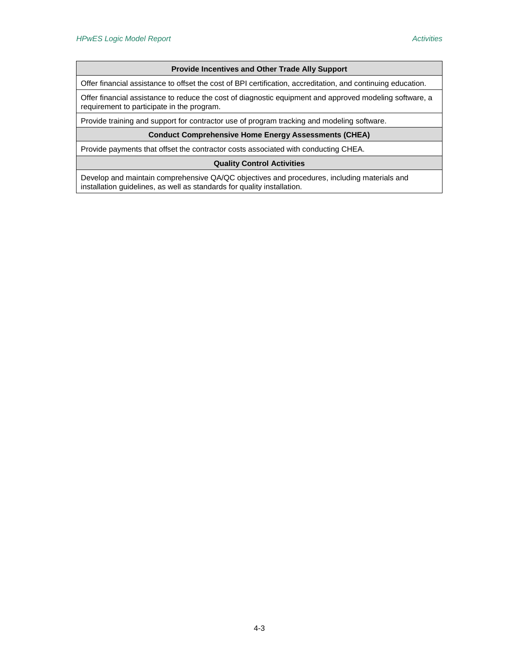#### **Provide Incentives and Other Trade Ally Support**

Offer financial assistance to offset the cost of BPI certification, accreditation, and continuing education.

Offer financial assistance to reduce the cost of diagnostic equipment and approved modeling software, a requirement to participate in the program.

Provide training and support for contractor use of program tracking and modeling software.

#### **Conduct Comprehensive Home Energy Assessments (CHEA)**

Provide payments that offset the contractor costs associated with conducting CHEA.

#### **Quality Control Activities**

Develop and maintain comprehensive QA/QC objectives and procedures, including materials and installation guidelines, as well as standards for quality installation.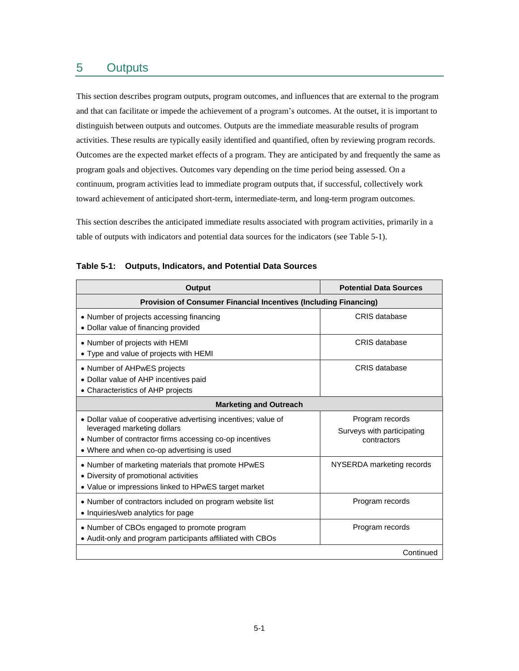## <span id="page-20-0"></span>5 Outputs

This section describes program outputs, program outcomes, and influences that are external to the program and that can facilitate or impede the achievement of a program's outcomes. At the outset, it is important to distinguish between outputs and outcomes. Outputs are the immediate measurable results of program activities. These results are typically easily identified and quantified, often by reviewing program records. Outcomes are the expected market effects of a program. They are anticipated by and frequently the same as program goals and objectives. Outcomes vary depending on the time period being assessed. On a continuum, program activities lead to immediate program outputs that, if successful, collectively work toward achievement of anticipated short-term, intermediate-term, and long-term program outcomes.

This section describes the anticipated immediate results associated with program activities, primarily in a table of outputs with indicators and potential data sources for the indicators (see [Table 5-1\)](#page-20-1).

| Output                                                                                                                                                                                                 | <b>Potential Data Sources</b>                                |  |  |  |
|--------------------------------------------------------------------------------------------------------------------------------------------------------------------------------------------------------|--------------------------------------------------------------|--|--|--|
| <b>Provision of Consumer Financial Incentives (Including Financing)</b>                                                                                                                                |                                                              |  |  |  |
| • Number of projects accessing financing<br>• Dollar value of financing provided                                                                                                                       | CRIS database                                                |  |  |  |
| • Number of projects with HEMI<br>• Type and value of projects with HEMI                                                                                                                               | CRIS database                                                |  |  |  |
| • Number of AHPwES projects<br>• Dollar value of AHP incentives paid<br>• Characteristics of AHP projects                                                                                              | CRIS database                                                |  |  |  |
| <b>Marketing and Outreach</b>                                                                                                                                                                          |                                                              |  |  |  |
| • Dollar value of cooperative advertising incentives; value of<br>leveraged marketing dollars<br>• Number of contractor firms accessing co-op incentives<br>• Where and when co-op advertising is used | Program records<br>Surveys with participating<br>contractors |  |  |  |
| • Number of marketing materials that promote HPwES<br>• Diversity of promotional activities<br>• Value or impressions linked to HPwES target market                                                    | NYSERDA marketing records                                    |  |  |  |
| • Number of contractors included on program website list<br>• Inquiries/web analytics for page                                                                                                         | Program records                                              |  |  |  |
| • Number of CBOs engaged to promote program<br>• Audit-only and program participants affiliated with CBOs                                                                                              | Program records                                              |  |  |  |
|                                                                                                                                                                                                        | Continued                                                    |  |  |  |

#### <span id="page-20-1"></span>**Table 5-1: Outputs, Indicators, and Potential Data Sources**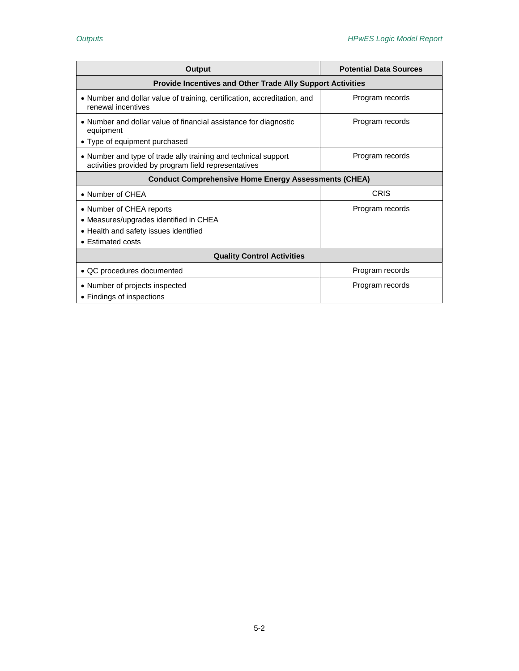| <b>Output</b>                                                                                                                    | <b>Potential Data Sources</b> |  |  |  |
|----------------------------------------------------------------------------------------------------------------------------------|-------------------------------|--|--|--|
| Provide Incentives and Other Trade Ally Support Activities                                                                       |                               |  |  |  |
| • Number and dollar value of training, certification, accreditation, and<br>renewal incentives                                   | Program records               |  |  |  |
| • Number and dollar value of financial assistance for diagnostic<br>equipment<br>• Type of equipment purchased                   | Program records               |  |  |  |
| • Number and type of trade ally training and technical support<br>activities provided by program field representatives           | Program records               |  |  |  |
| <b>Conduct Comprehensive Home Energy Assessments (CHEA)</b>                                                                      |                               |  |  |  |
| • Number of CHEA                                                                                                                 | CRIS                          |  |  |  |
| • Number of CHEA reports<br>• Measures/upgrades identified in CHEA<br>• Health and safety issues identified<br>• Estimated costs | Program records               |  |  |  |
| <b>Quality Control Activities</b>                                                                                                |                               |  |  |  |
| • QC procedures documented                                                                                                       | Program records               |  |  |  |
| • Number of projects inspected<br>• Findings of inspections                                                                      | Program records               |  |  |  |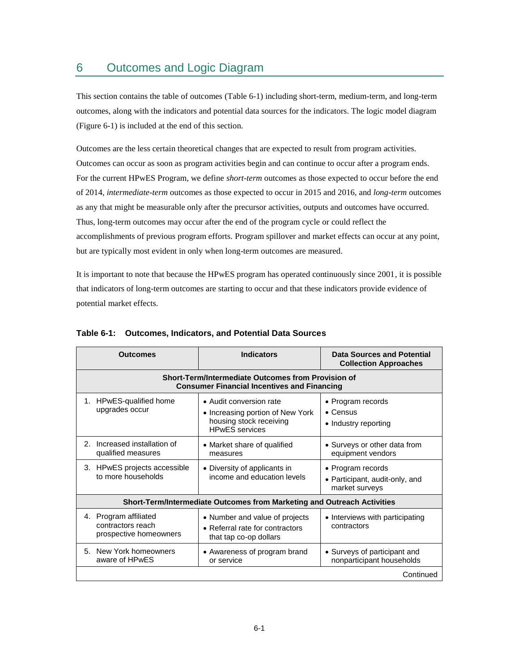# <span id="page-22-0"></span>6 Outcomes and Logic Diagram

This section contains the table of outcomes [\(Table 6-1\)](#page-22-1) including short-term, medium-term, and long-term outcomes, along with the indicators and potential data sources for the indicators. The logic model diagram [\(Figure 6-1\)](#page-26-0) is included at the end of this section.

Outcomes are the less certain theoretical changes that are expected to result from program activities. Outcomes can occur as soon as program activities begin and can continue to occur after a program ends. For the current HPwES Program, we define *short-term* outcomes as those expected to occur before the end of 2014, *intermediate-term* outcomes as those expected to occur in 2015 and 2016, and *long-term* outcomes as any that might be measurable only after the precursor activities, outputs and outcomes have occurred. Thus, long-term outcomes may occur after the end of the program cycle or could reflect the accomplishments of previous program efforts. Program spillover and market effects can occur at any point, but are typically most evident in only when long-term outcomes are measured.

It is important to note that because the HPwES program has operated continuously since 2001, it is possible that indicators of long-term outcomes are starting to occur and that these indicators provide evidence of potential market effects.

| <b>Outcomes</b>                                                                                          | <b>Indicators</b>                                                                                               | Data Sources and Potential<br><b>Collection Approaches</b>            |  |  |  |  |
|----------------------------------------------------------------------------------------------------------|-----------------------------------------------------------------------------------------------------------------|-----------------------------------------------------------------------|--|--|--|--|
| Short-Term/Intermediate Outcomes from Provision of<br><b>Consumer Financial Incentives and Financing</b> |                                                                                                                 |                                                                       |  |  |  |  |
| HPwES-qualified home<br>1.<br>upgrades occur                                                             | • Audit conversion rate<br>• Increasing portion of New York<br>housing stock receiving<br><b>HPwES</b> services | • Program records<br>$\bullet$ Census<br>• Industry reporting         |  |  |  |  |
| Increased installation of<br>2.<br>qualified measures                                                    | • Market share of qualified<br>measures                                                                         | • Surveys or other data from<br>equipment vendors                     |  |  |  |  |
| 3. HPwES projects accessible<br>to more households                                                       | • Diversity of applicants in<br>income and education levels                                                     | • Program records<br>• Participant, audit-only, and<br>market surveys |  |  |  |  |
|                                                                                                          | Short-Term/Intermediate Outcomes from Marketing and Outreach Activities                                         |                                                                       |  |  |  |  |
| 4. Program affiliated<br>contractors reach<br>prospective homeowners                                     | • Number and value of projects<br>• Referral rate for contractors<br>that tap co-op dollars                     | • Interviews with participating<br>contractors                        |  |  |  |  |
| 5. New York homeowners<br>aware of HPwES                                                                 | • Awareness of program brand<br>or service                                                                      | • Surveys of participant and<br>nonparticipant households             |  |  |  |  |
|                                                                                                          |                                                                                                                 | Continued                                                             |  |  |  |  |

### <span id="page-22-1"></span>**Table 6-1: Outcomes, Indicators, and Potential Data Sources**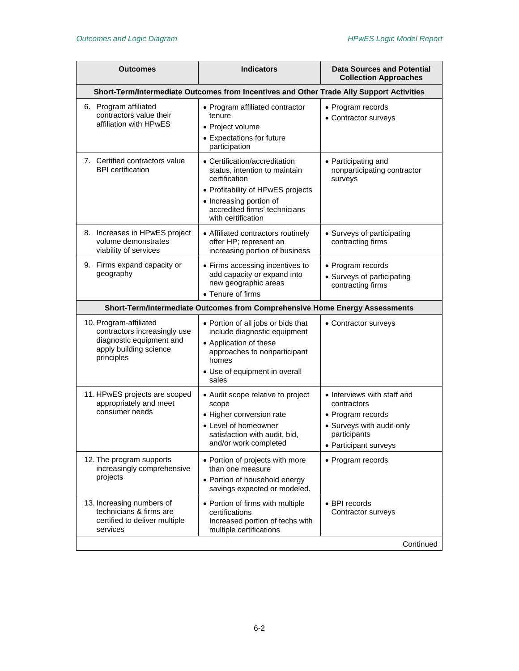<span id="page-23-4"></span><span id="page-23-3"></span><span id="page-23-2"></span><span id="page-23-1"></span><span id="page-23-0"></span>

| Outcomes                                                                                                                   | <b>Indicators</b>                                                                                                                                                                                      | <b>Data Sources and Potential</b><br><b>Collection Approaches</b>                                                                     |  |
|----------------------------------------------------------------------------------------------------------------------------|--------------------------------------------------------------------------------------------------------------------------------------------------------------------------------------------------------|---------------------------------------------------------------------------------------------------------------------------------------|--|
| Short-Term/Intermediate Outcomes from Incentives and Other Trade Ally Support Activities                                   |                                                                                                                                                                                                        |                                                                                                                                       |  |
| 6. Program affiliated<br>contractors value their<br>affiliation with HPwES                                                 | • Program affiliated contractor<br>tenure<br>• Project volume<br>• Expectations for future<br>participation                                                                                            | • Program records<br>• Contractor surveys                                                                                             |  |
| 7. Certified contractors value<br><b>BPI</b> certification                                                                 | • Certification/accreditation<br>status, intention to maintain<br>certification<br>• Profitability of HPwES projects<br>• Increasing portion of<br>accredited firms' technicians<br>with certification | • Participating and<br>nonparticipating contractor<br>surveys                                                                         |  |
| 8. Increases in HPwES project<br>volume demonstrates<br>viability of services                                              | • Affiliated contractors routinely<br>offer HP; represent an<br>increasing portion of business                                                                                                         | • Surveys of participating<br>contracting firms                                                                                       |  |
| 9. Firms expand capacity or<br>geography                                                                                   | • Firms accessing incentives to<br>add capacity or expand into<br>new geographic areas<br>• Tenure of firms                                                                                            | • Program records<br>• Surveys of participating<br>contracting firms                                                                  |  |
| Short-Term/Intermediate Outcomes from Comprehensive Home Energy Assessments                                                |                                                                                                                                                                                                        |                                                                                                                                       |  |
| 10. Program-affiliated<br>contractors increasingly use<br>diagnostic equipment and<br>apply building science<br>principles | • Portion of all jobs or bids that<br>include diagnostic equipment<br>• Application of these<br>approaches to nonparticipant<br>homes<br>• Use of equipment in overall<br>sales                        | • Contractor surveys                                                                                                                  |  |
| 11. HPwES projects are scoped<br>appropriately and meet<br>consumer needs                                                  | • Audit scope relative to project<br>scope<br>• Higher conversion rate<br>• Level of homeowner<br>satisfaction with audit, bid,<br>and/or work completed                                               | • Interviews with staff and<br>contractors<br>• Program records<br>• Surveys with audit-only<br>participants<br>• Participant surveys |  |
| 12. The program supports<br>increasingly comprehensive<br>projects                                                         | • Portion of projects with more<br>than one measure<br>• Portion of household energy<br>savings expected or modeled.                                                                                   | • Program records                                                                                                                     |  |
| 13. Increasing numbers of<br>technicians & firms are<br>certified to deliver multiple<br>services                          | • Portion of firms with multiple<br>certifications<br>Increased portion of techs with<br>multiple certifications                                                                                       | • BPI records<br>Contractor surveys                                                                                                   |  |
| Continued                                                                                                                  |                                                                                                                                                                                                        |                                                                                                                                       |  |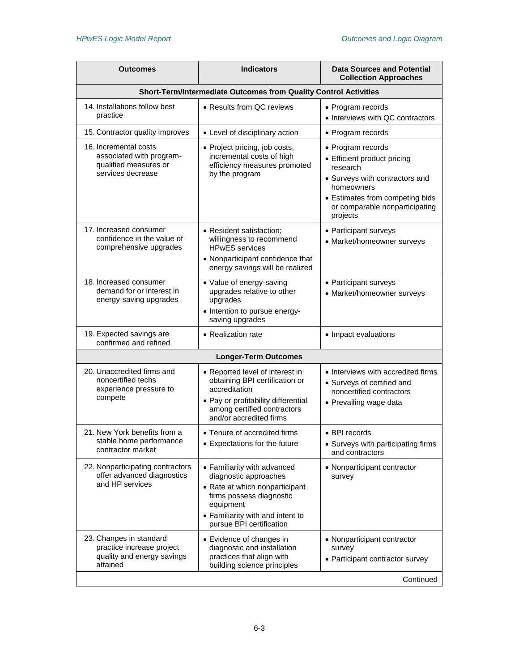<span id="page-24-6"></span><span id="page-24-5"></span><span id="page-24-4"></span><span id="page-24-3"></span><span id="page-24-2"></span><span id="page-24-1"></span><span id="page-24-0"></span>

| Outcomes                                                                                        | <b>Indicators</b>                                                                                                                                                                               | <b>Data Sources and Potential</b><br><b>Collection Approaches</b>                                                                                                                             |
|-------------------------------------------------------------------------------------------------|-------------------------------------------------------------------------------------------------------------------------------------------------------------------------------------------------|-----------------------------------------------------------------------------------------------------------------------------------------------------------------------------------------------|
| Short-Term/Intermediate Outcomes from Quality Control Activities                                |                                                                                                                                                                                                 |                                                                                                                                                                                               |
| 14. Installations follow best<br>practice                                                       | • Results from QC reviews                                                                                                                                                                       | • Program records<br>• Interviews with QC contractors                                                                                                                                         |
| 15. Contractor quality improves                                                                 | • Level of disciplinary action                                                                                                                                                                  | • Program records                                                                                                                                                                             |
| 16. Incremental costs<br>associated with program-<br>qualified measures or<br>services decrease | • Project pricing, job costs,<br>incremental costs of high<br>efficiency measures promoted<br>by the program                                                                                    | • Program records<br>• Efficient product pricing<br>research<br>• Surveys with contractors and<br>homeowners<br>• Estimates from competing bids<br>or comparable nonparticipating<br>projects |
| 17. Increased consumer<br>confidence in the value of<br>comprehensive upgrades                  | • Resident satisfaction:<br>willingness to recommend<br><b>HPwES</b> services<br>• Nonparticipant confidence that<br>energy savings will be realized                                            | • Participant surveys<br>• Market/homeowner surveys                                                                                                                                           |
| 18. Increased consumer<br>demand for or interest in<br>energy-saving upgrades                   | • Value of energy-saving<br>upgrades relative to other<br>upgrades<br>• Intention to pursue energy-<br>saving upgrades                                                                          | • Participant surveys<br>• Market/homeowner surveys                                                                                                                                           |
| 19. Expected savings are<br>confirmed and refined                                               | • Realization rate                                                                                                                                                                              | • Impact evaluations                                                                                                                                                                          |
|                                                                                                 | <b>Longer-Term Outcomes</b>                                                                                                                                                                     |                                                                                                                                                                                               |
| 20. Unaccredited firms and<br>noncertified techs<br>experience pressure to<br>compete           | • Reported level of interest in<br>obtaining BPI certification or<br>accreditation<br>• Pay or profitability differential<br>among certified contractors<br>and/or accredited firms             | • Interviews with accredited firms<br>• Surveys of certified and<br>noncertified contractors<br>• Prevailing wage data                                                                        |
| 21. New York benefits from a<br>stable home performance<br>contractor market                    | • Tenure of accredited firms<br>• Expectations for the future                                                                                                                                   | • BPI records<br>• Surveys with participating firms<br>and contractors                                                                                                                        |
| 22. Nonparticipating contractors<br>offer advanced diagnostics<br>and HP services               | • Familiarity with advanced<br>diagnostic approaches<br>• Rate at which nonparticipant<br>firms possess diagnostic<br>equipment<br>• Familiarity with and intent to<br>pursue BPI certification | • Nonparticipant contractor<br>survey                                                                                                                                                         |
| 23. Changes in standard<br>practice increase project<br>quality and energy savings<br>attained  | • Evidence of changes in<br>diagnostic and installation<br>practices that align with<br>building science principles                                                                             | • Nonparticipant contractor<br>survey<br>• Participant contractor survey<br>Continued                                                                                                         |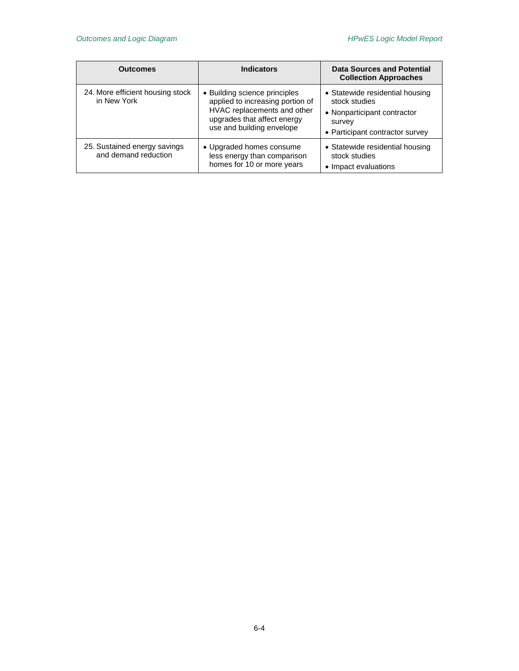| <b>Outcomes</b>                                      | <b>Indicators</b>                                                                                                                                            | Data Sources and Potential<br><b>Collection Approaches</b>                                                                   |
|------------------------------------------------------|--------------------------------------------------------------------------------------------------------------------------------------------------------------|------------------------------------------------------------------------------------------------------------------------------|
| 24. More efficient housing stock<br>in New York      | • Building science principles<br>applied to increasing portion of<br>HVAC replacements and other<br>upgrades that affect energy<br>use and building envelope | • Statewide residential housing<br>stock studies<br>• Nonparticipant contractor<br>survey<br>• Participant contractor survey |
| 25. Sustained energy savings<br>and demand reduction | • Upgraded homes consume<br>less energy than comparison<br>homes for 10 or more years                                                                        | • Statewide residential housing<br>stock studies<br>• Impact evaluations                                                     |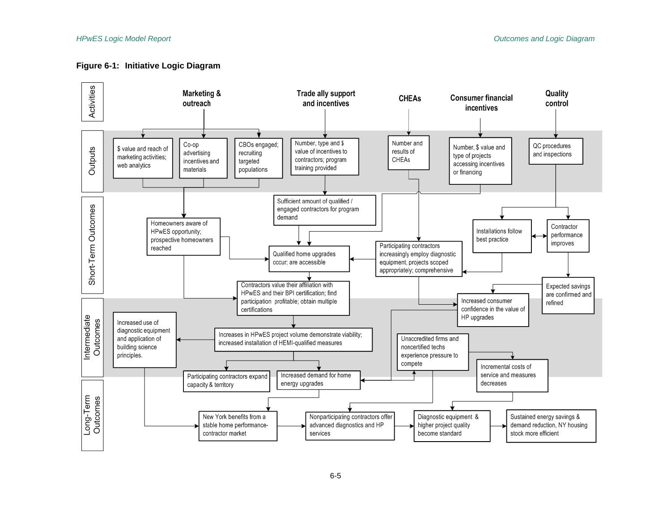### **Figure 6-1: Initiative Logic Diagram**

<span id="page-26-0"></span>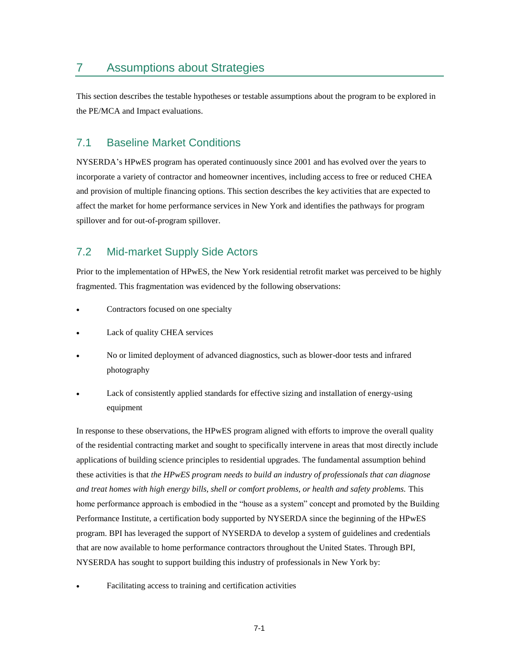## <span id="page-28-0"></span>7 Assumptions about Strategies

This section describes the testable hypotheses or testable assumptions about the program to be explored in the PE/MCA and Impact evaluations.

### <span id="page-28-1"></span>7.1 Baseline Market Conditions

NYSERDA's HPwES program has operated continuously since 2001 and has evolved over the years to incorporate a variety of contractor and homeowner incentives, including access to free or reduced CHEA and provision of multiple financing options. This section describes the key activities that are expected to affect the market for home performance services in New York and identifies the pathways for program spillover and for out-of-program spillover.

### <span id="page-28-2"></span>7.2 Mid-market Supply Side Actors

Prior to the implementation of HPwES, the New York residential retrofit market was perceived to be highly fragmented. This fragmentation was evidenced by the following observations:

- Contractors focused on one specialty
- Lack of quality CHEA services
- No or limited deployment of advanced diagnostics, such as blower-door tests and infrared photography
- Lack of consistently applied standards for effective sizing and installation of energy-using equipment

In response to these observations, the HPwES program aligned with efforts to improve the overall quality of the residential contracting market and sought to specifically intervene in areas that most directly include applications of building science principles to residential upgrades. The fundamental assumption behind these activities is that *the HPwES program needs to build an industry of professionals that can diagnose and treat homes with high energy bills, shell or comfort problems, or health and safety problems.* This home performance approach is embodied in the "house as a system" concept and promoted by the Building Performance Institute, a certification body supported by NYSERDA since the beginning of the HPwES program. BPI has leveraged the support of NYSERDA to develop a system of guidelines and credentials that are now available to home performance contractors throughout the United States. Through BPI, NYSERDA has sought to support building this industry of professionals in New York by:

Facilitating access to training and certification activities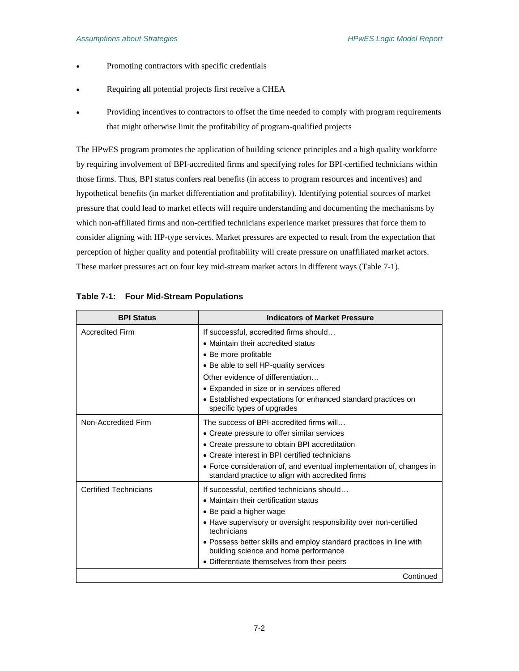- Promoting contractors with specific credentials
- Requiring all potential projects first receive a CHEA
- Providing incentives to contractors to offset the time needed to comply with program requirements that might otherwise limit the profitability of program-qualified projects

The HPwES program promotes the application of building science principles and a high quality workforce by requiring involvement of BPI-accredited firms and specifying roles for BPI-certified technicians within those firms. Thus, BPI status confers real benefits (in access to program resources and incentives) and hypothetical benefits (in market differentiation and profitability). Identifying potential sources of market pressure that could lead to market effects will require understanding and documenting the mechanisms by which non-affiliated firms and non-certified technicians experience market pressures that force them to consider aligning with HP-type services. Market pressures are expected to result from the expectation that perception of higher quality and potential profitability will create pressure on unaffiliated market actors. These market pressures act on four key mid-stream market actors in different ways [\(Table 7-1\)](#page-29-0).

| <b>BPI Status</b>            | <b>Indicators of Market Pressure</b>                                                                                     |
|------------------------------|--------------------------------------------------------------------------------------------------------------------------|
| <b>Accredited Firm</b>       | If successful, accredited firms should                                                                                   |
|                              | • Maintain their accredited status                                                                                       |
|                              | • Be more profitable                                                                                                     |
|                              | • Be able to sell HP-quality services                                                                                    |
|                              | Other evidence of differentiation                                                                                        |
|                              | • Expanded in size or in services offered                                                                                |
|                              | • Established expectations for enhanced standard practices on<br>specific types of upgrades                              |
| Non-Accredited Firm          | The success of BPI-accredited firms will                                                                                 |
|                              | • Create pressure to offer similar services                                                                              |
|                              | • Create pressure to obtain BPI accreditation                                                                            |
|                              | • Create interest in BPI certified technicians                                                                           |
|                              | • Force consideration of, and eventual implementation of, changes in<br>standard practice to align with accredited firms |
| <b>Certified Technicians</b> | If successful, certified technicians should                                                                              |
|                              | • Maintain their certification status                                                                                    |
|                              | • Be paid a higher wage                                                                                                  |
|                              | • Have supervisory or oversight responsibility over non-certified<br>technicians                                         |
|                              | • Possess better skills and employ standard practices in line with<br>building science and home performance              |
|                              | • Differentiate themselves from their peers                                                                              |
|                              | Continued                                                                                                                |

#### <span id="page-29-0"></span>**Table 7-1: Four Mid-Stream Populations**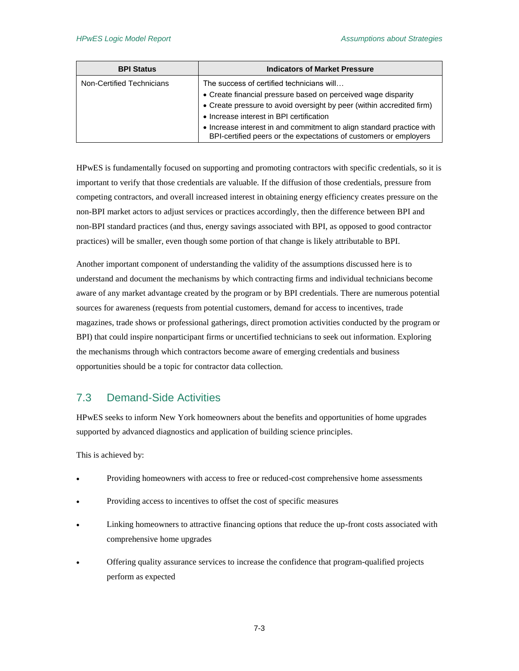| <b>BPI Status</b>         | <b>Indicators of Market Pressure</b>                                                                                                       |
|---------------------------|--------------------------------------------------------------------------------------------------------------------------------------------|
| Non-Certified Technicians | The success of certified technicians will                                                                                                  |
|                           | • Create financial pressure based on perceived wage disparity                                                                              |
|                           | • Create pressure to avoid oversight by peer (within accredited firm)                                                                      |
|                           | • Increase interest in BPI certification                                                                                                   |
|                           | • Increase interest in and commitment to align standard practice with<br>BPI-certified peers or the expectations of customers or employers |

HPwES is fundamentally focused on supporting and promoting contractors with specific credentials, so it is important to verify that those credentials are valuable. If the diffusion of those credentials, pressure from competing contractors, and overall increased interest in obtaining energy efficiency creates pressure on the non-BPI market actors to adjust services or practices accordingly, then the difference between BPI and non-BPI standard practices (and thus, energy savings associated with BPI, as opposed to good contractor practices) will be smaller, even though some portion of that change is likely attributable to BPI.

Another important component of understanding the validity of the assumptions discussed here is to understand and document the mechanisms by which contracting firms and individual technicians become aware of any market advantage created by the program or by BPI credentials. There are numerous potential sources for awareness (requests from potential customers, demand for access to incentives, trade magazines, trade shows or professional gatherings, direct promotion activities conducted by the program or BPI) that could inspire nonparticipant firms or uncertified technicians to seek out information. Exploring the mechanisms through which contractors become aware of emerging credentials and business opportunities should be a topic for contractor data collection.

### <span id="page-30-0"></span>7.3 Demand-Side Activities

HPwES seeks to inform New York homeowners about the benefits and opportunities of home upgrades supported by advanced diagnostics and application of building science principles.

This is achieved by:

- Providing homeowners with access to free or reduced-cost comprehensive home assessments
- Providing access to incentives to offset the cost of specific measures
- Linking homeowners to attractive financing options that reduce the up-front costs associated with comprehensive home upgrades
- Offering quality assurance services to increase the confidence that program-qualified projects perform as expected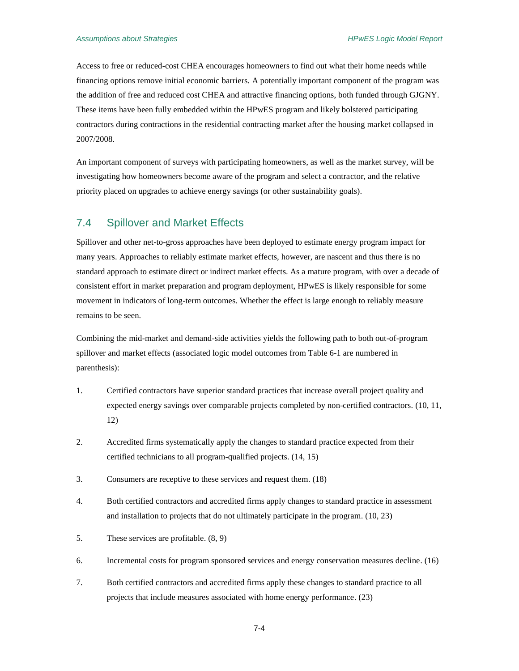Access to free or reduced-cost CHEA encourages homeowners to find out what their home needs while financing options remove initial economic barriers. A potentially important component of the program was the addition of free and reduced cost CHEA and attractive financing options, both funded through GJGNY. These items have been fully embedded within the HPwES program and likely bolstered participating contractors during contractions in the residential contracting market after the housing market collapsed in 2007/2008.

An important component of surveys with participating homeowners, as well as the market survey, will be investigating how homeowners become aware of the program and select a contractor, and the relative priority placed on upgrades to achieve energy savings (or other sustainability goals).

### <span id="page-31-0"></span>7.4 Spillover and Market Effects

Spillover and other net-to-gross approaches have been deployed to estimate energy program impact for many years. Approaches to reliably estimate market effects, however, are nascent and thus there is no standard approach to estimate direct or indirect market effects. As a mature program, with over a decade of consistent effort in market preparation and program deployment, HPwES is likely responsible for some movement in indicators of long-term outcomes. Whether the effect is large enough to reliably measure remains to be seen.

Combining the mid-market and demand-side activities yields the following path to both out-of-program spillover and market effects (associated logic model outcomes fro[m Table 6-1](#page-22-1) are numbered in parenthesis):

- 1. Certified contractors have superior standard practices that increase overall project quality and expected energy savings over comparable projects completed by non-certified contractors. [\(10,](#page-23-0) [11,](#page-23-1) [12\)](#page-23-2)
- 2. Accredited firms systematically apply the changes to standard practice expected from their certified technicians to all program-qualified projects. [\(14,](#page-24-0) [15\)](#page-24-1)
- 3. Consumers are receptive to these services and request them. [\(18\)](#page-24-2)
- 4. Both certified contractors and accredited firms apply changes to standard practice in assessment and installation to projects that do not ultimately participate in the program. [\(10,](#page-23-0) [23\)](#page-24-3)
- 5. These services are profitable. [\(8,](#page-23-3) [9\)](#page-23-4)
- 6. Incremental costs for program sponsored services and energy conservation measures decline. [\(16\)](#page-24-4)
- 7. Both certified contractors and accredited firms apply these changes to standard practice to all projects that include measures associated with home energy performance. [\(23\)](#page-24-3)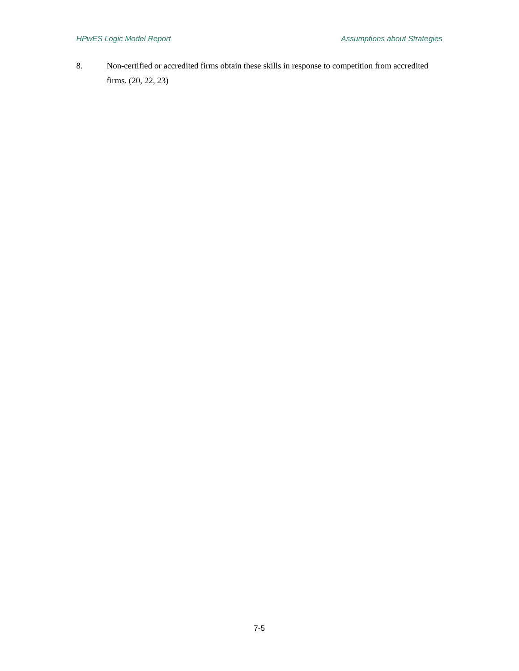8. Non-certified or accredited firms obtain these skills in response to competition from accredited firms. [\(20,](#page-24-5) [22,](#page-24-6) [23\)](#page-24-3)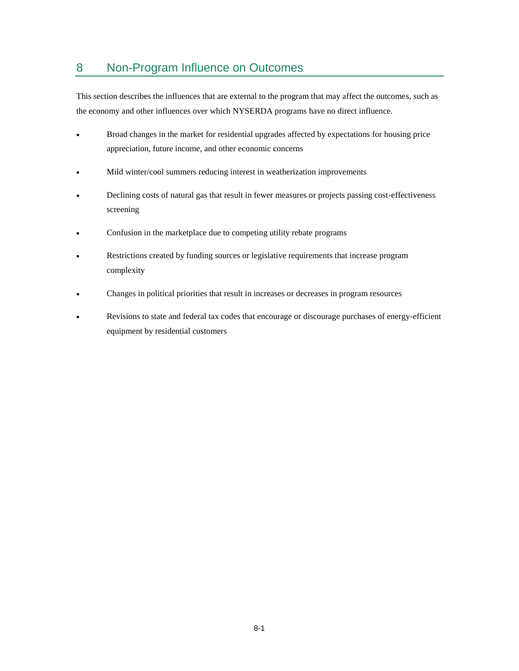# <span id="page-34-0"></span>8 Non-Program Influence on Outcomes

This section describes the influences that are external to the program that may affect the outcomes, such as the economy and other influences over which NYSERDA programs have no direct influence.

- Broad changes in the market for residential upgrades affected by expectations for housing price appreciation, future income, and other economic concerns
- Mild winter/cool summers reducing interest in weatherization improvements
- Declining costs of natural gas that result in fewer measures or projects passing cost-effectiveness screening
- Confusion in the marketplace due to competing utility rebate programs
- Restrictions created by funding sources or legislative requirements that increase program complexity
- Changes in political priorities that result in increases or decreases in program resources
- Revisions to state and federal tax codes that encourage or discourage purchases of energy-efficient equipment by residential customers